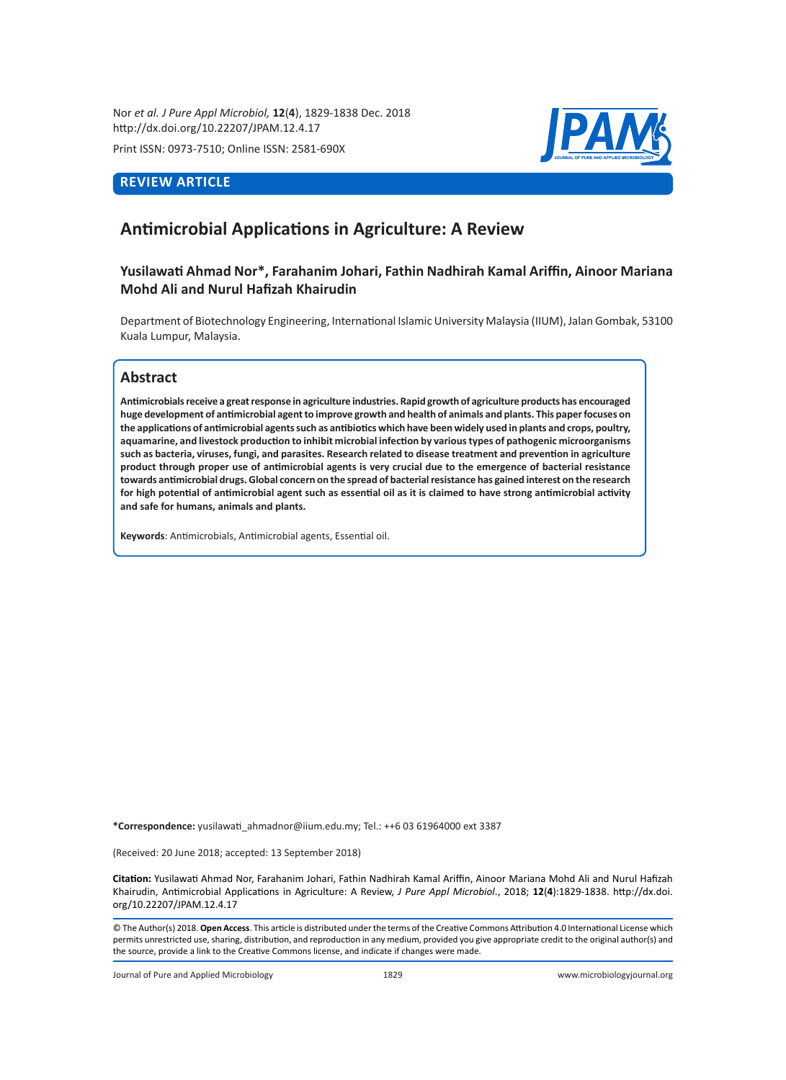Nor *et al. J Pure Appl Microbiol,* **12**(**4**), 1829-1838 Dec. 2018 http://dx.doi.org/10.22207/JPAM.12.4.17

Print ISSN: 0973-7510; Online ISSN: 2581-690X

# **REVIEW ARTICLE**



# **Antimicrobial Applications in Agriculture: A Review**

# **Yusilawati Ahmad Nor\*, Farahanim Johari, Fathin Nadhirah Kamal Ariffin, Ainoor Mariana Mohd Ali and Nurul Hafizah Khairudin**

Department of Biotechnology Engineering, International Islamic University Malaysia (IIUM), Jalan Gombak, 53100 Kuala Lumpur, Malaysia.

# **Abstract**

**Antimicrobials receive a great response in agriculture industries. Rapid growth of agriculture products has encouraged huge development of antimicrobial agent to improve growth and health of animals and plants. This paper focuses on the applications of antimicrobial agents such as antibiotics which have been widely used in plants and crops, poultry, aquamarine, and livestock production to inhibit microbial infection by various types of pathogenic microorganisms such as bacteria, viruses, fungi, and parasites. Research related to disease treatment and prevention in agriculture product through proper use of antimicrobial agents is very crucial due to the emergence of bacterial resistance towards antimicrobial drugs. Global concern on the spread of bacterial resistance has gained interest on the research for high potential of antimicrobial agent such as essential oil as it is claimed to have strong antimicrobial activity and safe for humans, animals and plants.**

**Keywords**: Antimicrobials, Antimicrobial agents, Essential oil.

**\*Correspondence:** yusilawati\_ahmadnor@iium.edu.my; Tel.: ++6 03 61964000 ext 3387

(Received: 20 June 2018; accepted: 13 September 2018)

**Citation:** Yusilawati Ahmad Nor, Farahanim Johari, Fathin Nadhirah Kamal Ariffin, Ainoor Mariana Mohd Ali and Nurul Hafizah Khairudin, Antimicrobial Applications in Agriculture: A Review, *J Pure Appl Microbiol*., 2018; **12**(**4**):1829-1838. http://dx.doi. org/10.22207/JPAM.12.4.17

© The Author(s) 2018. **Open Access**. This article is distributed under the terms of the Creative Commons Attribution 4.0 International License which permits unrestricted use, sharing, distribution, and reproduction in any medium, provided you give appropriate credit to the original author(s) and the source, provide a link to the Creative Commons license, and indicate if changes were made.

Journal of Pure and Applied Microbiology 1829 www.microbiologyjournal.org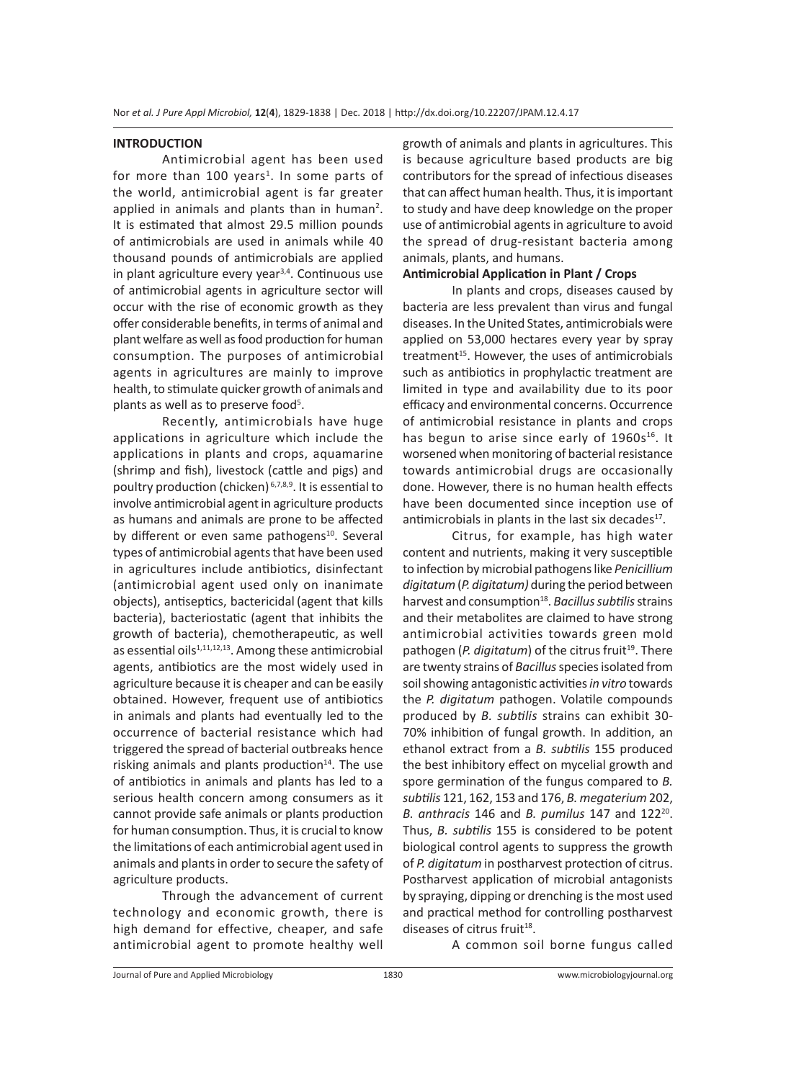#### **INTRODUCTION**

Antimicrobial agent has been used for more than 100 years<sup>1</sup>. In some parts of the world, antimicrobial agent is far greater applied in animals and plants than in human<sup>2</sup>. It is estimated that almost 29.5 million pounds of antimicrobials are used in animals while 40 thousand pounds of antimicrobials are applied in plant agriculture every year $3,4$ . Continuous use of antimicrobial agents in agriculture sector will occur with the rise of economic growth as they offer considerable benefits, in terms of animal and plant welfare as well as food production for human consumption. The purposes of antimicrobial agents in agricultures are mainly to improve health, to stimulate quicker growth of animals and plants as well as to preserve food<sup>5</sup>.

Recently, antimicrobials have huge applications in agriculture which include the applications in plants and crops, aquamarine (shrimp and fish), livestock (cattle and pigs) and poultry production (chicken) 6,7,8,9. It is essential to involve antimicrobial agent in agriculture products as humans and animals are prone to be affected by different or even same pathogens<sup>10</sup>. Several types of antimicrobial agents that have been used in agricultures include antibiotics, disinfectant (antimicrobial agent used only on inanimate objects), antiseptics, bactericidal (agent that kills bacteria), bacteriostatic (agent that inhibits the growth of bacteria), chemotherapeutic, as well as essential oils $1,11,12,13$ . Among these antimicrobial agents, antibiotics are the most widely used in agriculture because it is cheaper and can be easily obtained. However, frequent use of antibiotics in animals and plants had eventually led to the occurrence of bacterial resistance which had triggered the spread of bacterial outbreaks hence risking animals and plants production $14$ . The use of antibiotics in animals and plants has led to a serious health concern among consumers as it cannot provide safe animals or plants production for human consumption. Thus, it is crucial to know the limitations of each antimicrobial agent used in animals and plants in order to secure the safety of agriculture products.

Through the advancement of current technology and economic growth, there is high demand for effective, cheaper, and safe antimicrobial agent to promote healthy well growth of animals and plants in agricultures. This is because agriculture based products are big contributors for the spread of infectious diseases that can affect human health. Thus, it is important to study and have deep knowledge on the proper use of antimicrobial agents in agriculture to avoid the spread of drug-resistant bacteria among animals, plants, and humans.

## **Antimicrobial Application in Plant / Crops**

In plants and crops, diseases caused by bacteria are less prevalent than virus and fungal diseases. In the United States, antimicrobials were applied on 53,000 hectares every year by spray treatment<sup>15</sup>. However, the uses of antimicrobials such as antibiotics in prophylactic treatment are limited in type and availability due to its poor efficacy and environmental concerns. Occurrence of antimicrobial resistance in plants and crops has begun to arise since early of  $1960s^{16}$ . It worsened when monitoring of bacterial resistance towards antimicrobial drugs are occasionally done. However, there is no human health effects have been documented since inception use of antimicrobials in plants in the last six decades $^{17}$ .

Citrus, for example, has high water content and nutrients, making it very susceptible to infection by microbial pathogens like *Penicillium digitatum* (*P. digitatum)* during the period between harvest and consumption<sup>18</sup>. *Bacillus subtilis* strains and their metabolites are claimed to have strong antimicrobial activities towards green mold pathogen (*P. digitatum*) of the citrus fruit<sup>19</sup>. There are twenty strains of *Bacillus* species isolated from soil showing antagonistic activities *in vitro* towards the *P. digitatum* pathogen. Volatile compounds produced by *B. subtilis* strains can exhibit 30- 70% inhibition of fungal growth. In addition, an ethanol extract from a *B. subtilis* 155 produced the best inhibitory effect on mycelial growth and spore germination of the fungus compared to *B. subtilis* 121, 162, 153 and 176, *B. megaterium* 202, *B. anthracis* 146 and *B. pumilus* 147 and 12220. Thus, *B. subtilis* 155 is considered to be potent biological control agents to suppress the growth of *P. digitatum* in postharvest protection of citrus. Postharvest application of microbial antagonists by spraying, dipping or drenching is the most used and practical method for controlling postharvest diseases of citrus fruit $18$ .

A common soil borne fungus called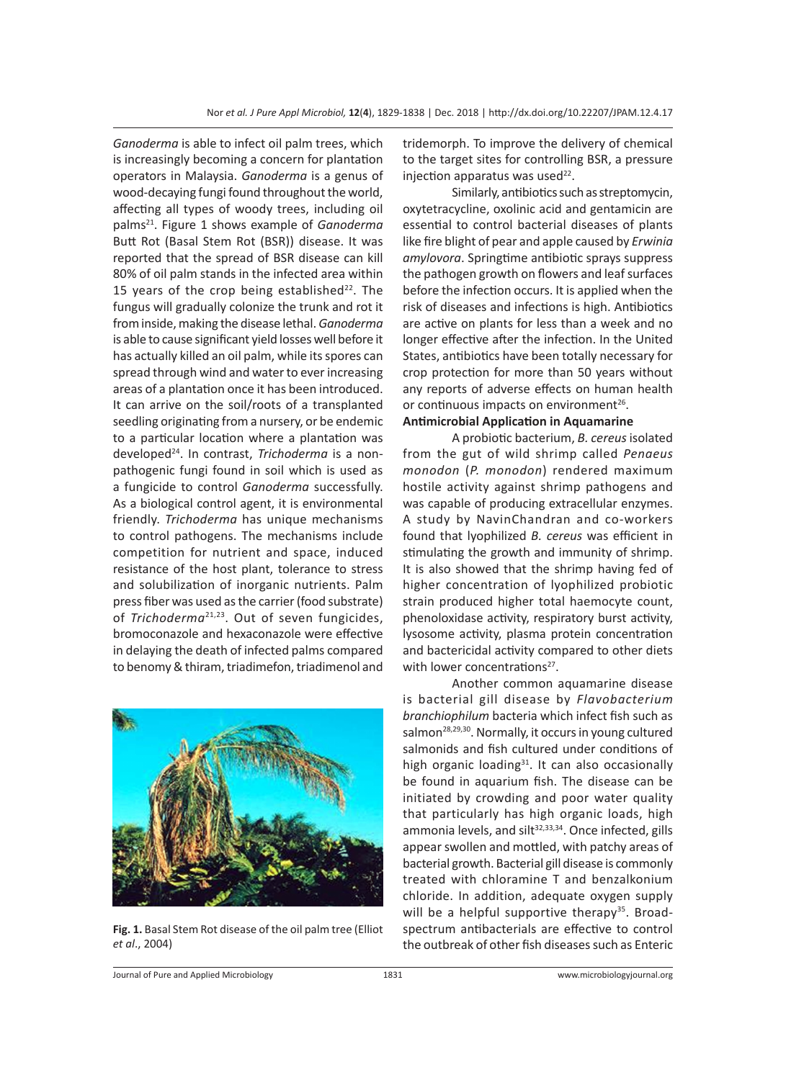*Ganoderma* is able to infect oil palm trees, which is increasingly becoming a concern for plantation operators in Malaysia. *Ganoderma* is a genus of wood-decaying fungi found throughout the world, affecting all types of woody trees, including oil palms21. Figure 1 shows example of *Ganoderma* Butt Rot (Basal Stem Rot (BSR)) disease. It was reported that the spread of BSR disease can kill 80% of oil palm stands in the infected area within 15 years of the crop being established $22$ . The fungus will gradually colonize the trunk and rot it from inside, making the disease lethal. *Ganoderma* is able to cause significant yield losses well before it has actually killed an oil palm, while its spores can spread through wind and water to ever increasing areas of a plantation once it has been introduced. It can arrive on the soil/roots of a transplanted seedling originating from a nursery, or be endemic to a particular location where a plantation was developed24. In contrast, *Trichoderma* is a nonpathogenic fungi found in soil which is used as a fungicide to control *Ganoderma* successfully. As a biological control agent, it is environmental friendly. *Trichoderma* has unique mechanisms to control pathogens. The mechanisms include competition for nutrient and space, induced resistance of the host plant, tolerance to stress and solubilization of inorganic nutrients. Palm press fiber was used as the carrier (food substrate) of *Trichoderma*<sup>21,23</sup>. Out of seven fungicides, bromoconazole and hexaconazole were effective in delaying the death of infected palms compared to benomy & thiram, triadimefon, triadimenol and



**Fig. 1.** Basal Stem Rot disease of the oil palm tree (Elliot *et al*., 2004)

tridemorph. To improve the delivery of chemical to the target sites for controlling BSR, a pressure injection apparatus was used $^{22}$ .

Similarly, antibiotics such as streptomycin, oxytetracycline, oxolinic acid and gentamicin are essential to control bacterial diseases of plants like fire blight of pear and apple caused by *Erwinia amylovora*. Springtime antibiotic sprays suppress the pathogen growth on flowers and leaf surfaces before the infection occurs. It is applied when the risk of diseases and infections is high. Antibiotics are active on plants for less than a week and no longer effective after the infection. In the United States, antibiotics have been totally necessary for crop protection for more than 50 years without any reports of adverse effects on human health or continuous impacts on environment<sup>26</sup>.

### **Antimicrobial Application in Aquamarine**

A probiotic bacterium, *B. cereus* isolated from the gut of wild shrimp called *Penaeus monodon* (*P. monodon*) rendered maximum hostile activity against shrimp pathogens and was capable of producing extracellular enzymes. A study by NavinChandran and co-workers found that lyophilized *B. cereus* was efficient in stimulating the growth and immunity of shrimp. It is also showed that the shrimp having fed of higher concentration of lyophilized probiotic strain produced higher total haemocyte count, phenoloxidase activity, respiratory burst activity, lysosome activity, plasma protein concentration and bactericidal activity compared to other diets with lower concentrations<sup>27</sup>.

Another common aquamarine disease is bacterial gill disease by *Flavobacterium branchiophilum* bacteria which infect fish such as salmon<sup>28,29,30</sup>. Normally, it occurs in young cultured salmonids and fish cultured under conditions of high organic loading $31$ . It can also occasionally be found in aquarium fish. The disease can be initiated by crowding and poor water quality that particularly has high organic loads, high ammonia levels, and silt<sup>32,33,34</sup>. Once infected, gills appear swollen and mottled, with patchy areas of bacterial growth. Bacterial gill disease is commonly treated with chloramine T and benzalkonium chloride. In addition, adequate oxygen supply will be a helpful supportive therapy<sup>35</sup>. Broadspectrum antibacterials are effective to control the outbreak of other fish diseases such as Enteric

Journal of Pure and Applied Microbiology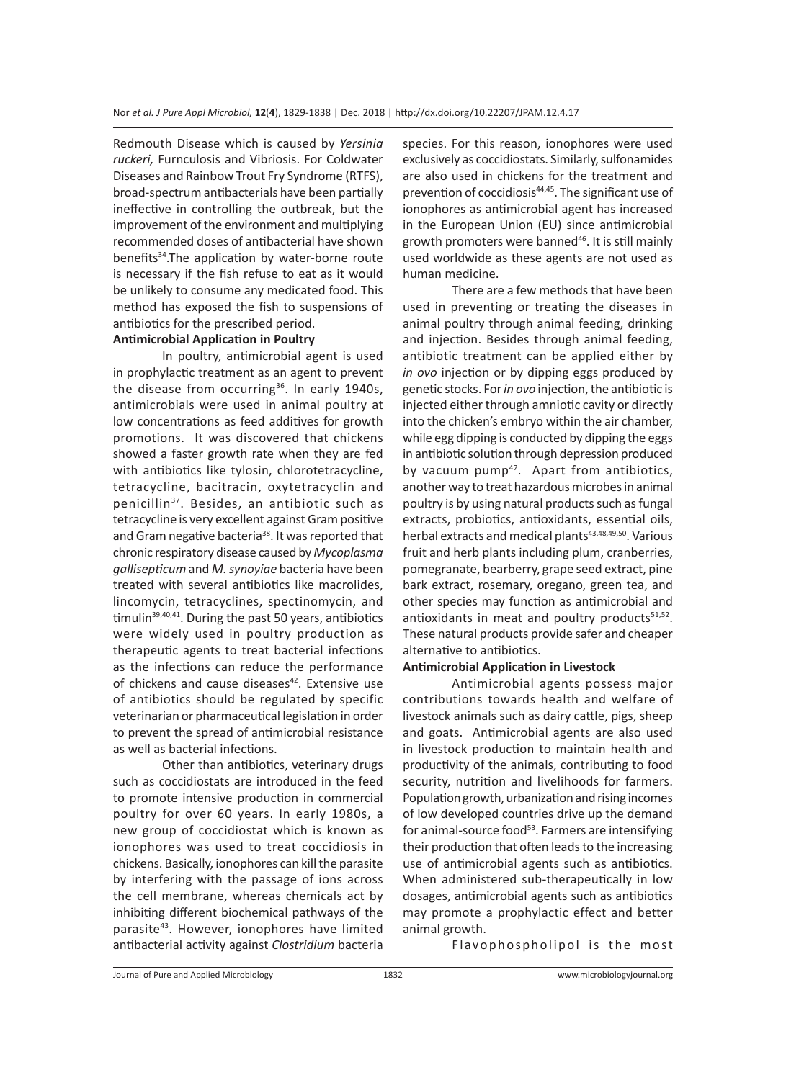Redmouth Disease which is caused by *Yersinia ruckeri,* Furnculosis and Vibriosis. For Coldwater Diseases and Rainbow Trout Fry Syndrome (RTFS), broad-spectrum antibacterials have been partially ineffective in controlling the outbreak, but the improvement of the environment and multiplying recommended doses of antibacterial have shown benefits<sup>34</sup>.The application by water-borne route is necessary if the fish refuse to eat as it would be unlikely to consume any medicated food. This method has exposed the fish to suspensions of antibiotics for the prescribed period.

## **Antimicrobial Application in Poultry**

In poultry, antimicrobial agent is used in prophylactic treatment as an agent to prevent the disease from occurring<sup>36</sup>. In early 1940s, antimicrobials were used in animal poultry at low concentrations as feed additives for growth promotions. It was discovered that chickens showed a faster growth rate when they are fed with antibiotics like tylosin, chlorotetracycline, tetracycline, bacitracin, oxytetracyclin and penicillin37. Besides, an antibiotic such as tetracycline is very excellent against Gram positive and Gram negative bacteria<sup>38</sup>. It was reported that chronic respiratory disease caused by *Mycoplasma gallisepticum* and *M. synoyiae* bacteria have been treated with several antibiotics like macrolides, lincomycin, tetracyclines, spectinomycin, and timulin $39,40,41$ . During the past 50 years, antibiotics were widely used in poultry production as therapeutic agents to treat bacterial infections as the infections can reduce the performance of chickens and cause diseases<sup>42</sup>. Extensive use of antibiotics should be regulated by specific veterinarian or pharmaceutical legislation in order to prevent the spread of antimicrobial resistance as well as bacterial infections.

Other than antibiotics, veterinary drugs such as coccidiostats are introduced in the feed to promote intensive production in commercial poultry for over 60 years. In early 1980s, a new group of coccidiostat which is known as ionophores was used to treat coccidiosis in chickens. Basically, ionophores can kill the parasite by interfering with the passage of ions across the cell membrane, whereas chemicals act by inhibiting different biochemical pathways of the parasite<sup>43</sup>. However, ionophores have limited antibacterial activity against *Clostridium* bacteria species. For this reason, ionophores were used exclusively as coccidiostats. Similarly, sulfonamides are also used in chickens for the treatment and prevention of coccidiosis<sup>44,45</sup>. The significant use of ionophores as antimicrobial agent has increased in the European Union (EU) since antimicrobial growth promoters were banned<sup>46</sup>. It is still mainly used worldwide as these agents are not used as human medicine.

There are a few methods that have been used in preventing or treating the diseases in animal poultry through animal feeding, drinking and injection. Besides through animal feeding, antibiotic treatment can be applied either by *in ovo* injection or by dipping eggs produced by genetic stocks. For *in ovo* injection, the antibiotic is injected either through amniotic cavity or directly into the chicken's embryo within the air chamber, while egg dipping is conducted by dipping the eggs in antibiotic solution through depression produced by vacuum pump<sup>47</sup>. Apart from antibiotics, another way to treat hazardous microbes in animal poultry is by using natural products such as fungal extracts, probiotics, antioxidants, essential oils, herbal extracts and medical plants<sup>43,48,49,50</sup>. Various fruit and herb plants including plum, cranberries, pomegranate, bearberry, grape seed extract, pine bark extract, rosemary, oregano, green tea, and other species may function as antimicrobial and antioxidants in meat and poultry products $51,52$ . These natural products provide safer and cheaper alternative to antibiotics.

#### **Antimicrobial Application in Livestock**

Antimicrobial agents possess major contributions towards health and welfare of livestock animals such as dairy cattle, pigs, sheep and goats. Antimicrobial agents are also used in livestock production to maintain health and productivity of the animals, contributing to food security, nutrition and livelihoods for farmers. Population growth, urbanization and rising incomes of low developed countries drive up the demand for animal-source food<sup>53</sup>. Farmers are intensifying their production that often leads to the increasing use of antimicrobial agents such as antibiotics. When administered sub-therapeutically in low dosages, antimicrobial agents such as antibiotics may promote a prophylactic effect and better animal growth.

Flavophospholipol is the most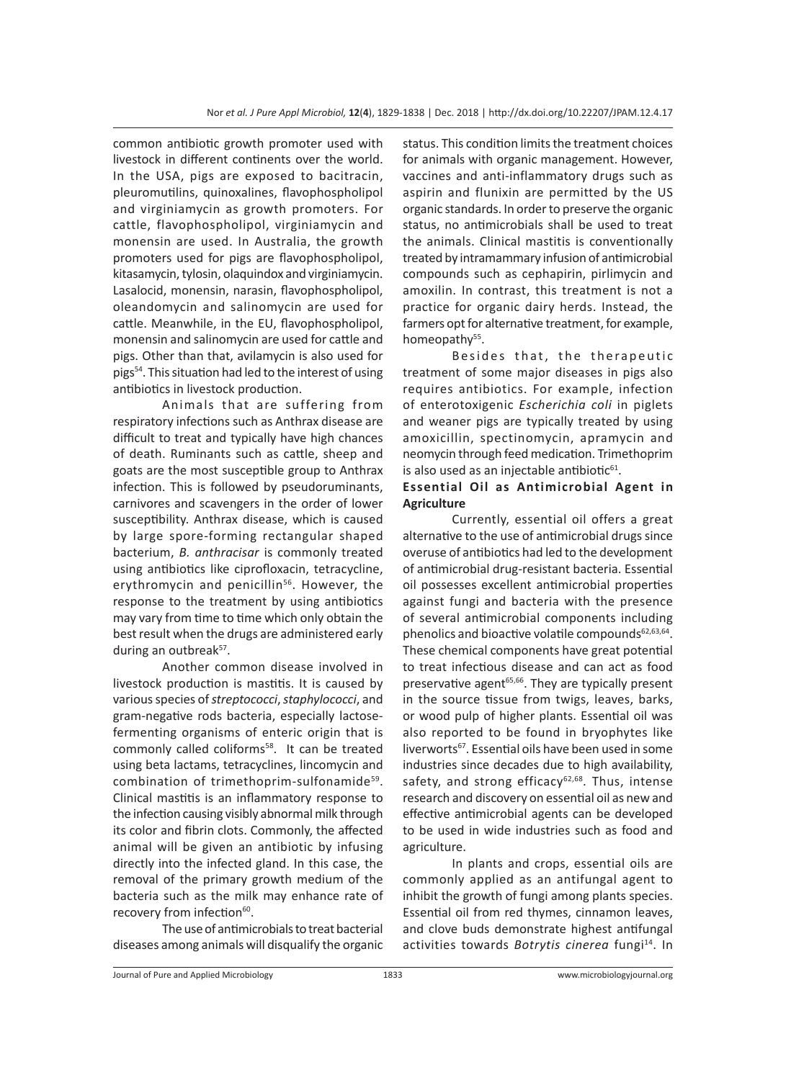common antibiotic growth promoter used with livestock in different continents over the world. In the USA, pigs are exposed to bacitracin, pleuromutilins, quinoxalines, flavophospholipol and virginiamycin as growth promoters. For cattle, flavophospholipol, virginiamycin and monensin are used. In Australia, the growth promoters used for pigs are flavophospholipol, kitasamycin, tylosin, olaquindox and virginiamycin. Lasalocid, monensin, narasin, flavophospholipol, oleandomycin and salinomycin are used for cattle. Meanwhile, in the EU, flavophospholipol, monensin and salinomycin are used for cattle and pigs. Other than that, avilamycin is also used for pigs54. This situation had led to the interest of using antibiotics in livestock production.

Animals that are suffering from respiratory infections such as Anthrax disease are difficult to treat and typically have high chances of death. Ruminants such as cattle, sheep and goats are the most susceptible group to Anthrax infection. This is followed by pseudoruminants, carnivores and scavengers in the order of lower susceptibility. Anthrax disease, which is caused by large spore-forming rectangular shaped bacterium, *B. anthracisar* is commonly treated using antibiotics like ciprofloxacin, tetracycline, erythromycin and penicillin<sup>56</sup>. However, the response to the treatment by using antibiotics may vary from time to time which only obtain the best result when the drugs are administered early during an outbreak<sup>57</sup>.

Another common disease involved in livestock production is mastitis. It is caused by various species of *streptococci*, *staphylococci*, and gram-negative rods bacteria, especially lactosefermenting organisms of enteric origin that is commonly called coliforms<sup>58</sup>. It can be treated using beta lactams, tetracyclines, lincomycin and combination of trimethoprim-sulfonamide<sup>59</sup>. Clinical mastitis is an inflammatory response to the infection causing visibly abnormal milk through its color and fibrin clots. Commonly, the affected animal will be given an antibiotic by infusing directly into the infected gland. In this case, the removal of the primary growth medium of the bacteria such as the milk may enhance rate of recovery from infection<sup>60</sup>.

The use of antimicrobials to treat bacterial diseases among animals will disqualify the organic status. This condition limits the treatment choices for animals with organic management. However, vaccines and anti-inflammatory drugs such as aspirin and flunixin are permitted by the US organic standards. In order to preserve the organic status, no antimicrobials shall be used to treat the animals. Clinical mastitis is conventionally treated by intramammary infusion of antimicrobial compounds such as cephapirin, pirlimycin and amoxilin. In contrast, this treatment is not a practice for organic dairy herds. Instead, the farmers opt for alternative treatment, for example, homeopathy<sup>55</sup>.

Besides that, the therapeutic treatment of some major diseases in pigs also requires antibiotics. For example, infection of enterotoxigenic *Escherichia coli* in piglets and weaner pigs are typically treated by using amoxicillin, spectinomycin, apramycin and neomycin through feed medication. Trimethoprim is also used as an injectable antibiotic $61$ .

## **Essential Oil as Antimicrobial Agent in Agriculture**

Currently, essential oil offers a great alternative to the use of antimicrobial drugs since overuse of antibiotics had led to the development of antimicrobial drug-resistant bacteria. Essential oil possesses excellent antimicrobial properties against fungi and bacteria with the presence of several antimicrobial components including phenolics and bioactive volatile compounds $62,63,64$ . These chemical components have great potential to treat infectious disease and can act as food preservative agent<sup>65,66</sup>. They are typically present in the source tissue from twigs, leaves, barks, or wood pulp of higher plants. Essential oil was also reported to be found in bryophytes like liverworts<sup>67</sup>. Essential oils have been used in some industries since decades due to high availability, safety, and strong efficacy $62,68$ . Thus, intense research and discovery on essential oil as new and effective antimicrobial agents can be developed to be used in wide industries such as food and agriculture.

In plants and crops, essential oils are commonly applied as an antifungal agent to inhibit the growth of fungi among plants species. Essential oil from red thymes, cinnamon leaves, and clove buds demonstrate highest antifungal activities towards *Botrytis cinerea* fungi<sup>14</sup>. In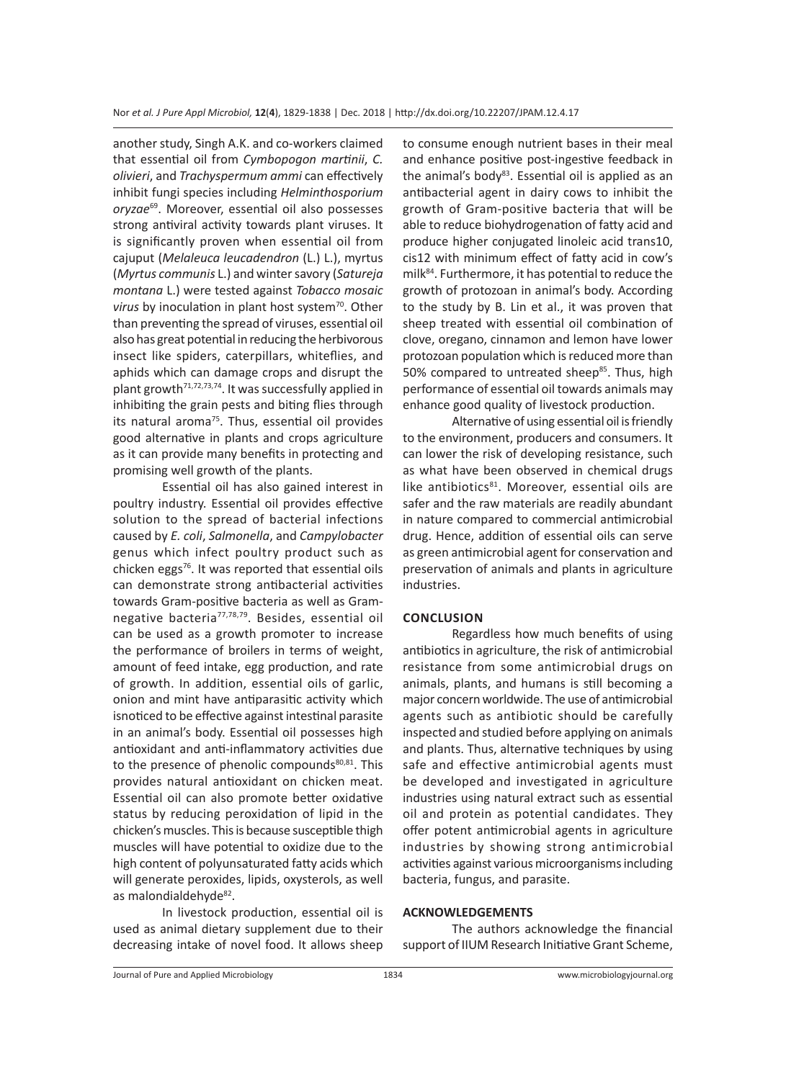another study, Singh A.K. and co-workers claimed that essential oil from *Cymbopogon martinii*, *C. olivieri*, and *Trachyspermum ammi* can effectively inhibit fungi species including *Helminthosporium oryzae*69. Moreover, essential oil also possesses strong antiviral activity towards plant viruses. It is significantly proven when essential oil from cajuput (*Melaleuca leucadendron* (L.) L.), myrtus (*Myrtus communis* L.) and winter savory (*Satureja montana* L.) were tested against *Tobacco mosaic*  virus by inoculation in plant host system<sup>70</sup>. Other than preventing the spread of viruses, essential oil also has great potential in reducing the herbivorous insect like spiders, caterpillars, whiteflies, and aphids which can damage crops and disrupt the plant growth<sup>71,72,73,74</sup>. It was successfully applied in inhibiting the grain pests and biting flies through its natural aroma $75$ . Thus, essential oil provides good alternative in plants and crops agriculture as it can provide many benefits in protecting and promising well growth of the plants.

Essential oil has also gained interest in poultry industry. Essential oil provides effective solution to the spread of bacterial infections caused by *E. coli*, *Salmonella*, and *Campylobacter* genus which infect poultry product such as chicken eggs $76$ . It was reported that essential oils can demonstrate strong antibacterial activities towards Gram-positive bacteria as well as Gramnegative bacteria77,78,79. Besides, essential oil can be used as a growth promoter to increase the performance of broilers in terms of weight, amount of feed intake, egg production, and rate of growth. In addition, essential oils of garlic, onion and mint have antiparasitic activity which isnoticed to be effective against intestinal parasite in an animal's body. Essential oil possesses high antioxidant and anti-inflammatory activities due to the presence of phenolic compounds<sup>80,81</sup>. This provides natural antioxidant on chicken meat. Essential oil can also promote better oxidative status by reducing peroxidation of lipid in the chicken's muscles. This is because susceptible thigh muscles will have potential to oxidize due to the high content of polyunsaturated fatty acids which will generate peroxides, lipids, oxysterols, as well as malondialdehyde<sup>82</sup>.

In livestock production, essential oil is used as animal dietary supplement due to their decreasing intake of novel food. It allows sheep to consume enough nutrient bases in their meal and enhance positive post-ingestive feedback in the animal's body<sup>83</sup>. Essential oil is applied as an antibacterial agent in dairy cows to inhibit the growth of Gram-positive bacteria that will be able to reduce biohydrogenation of fatty acid and produce higher conjugated linoleic acid trans10, cis12 with minimum effect of fatty acid in cow's milk84. Furthermore, it has potential to reduce the growth of protozoan in animal's body. According to the study by B. Lin et al., it was proven that sheep treated with essential oil combination of clove, oregano, cinnamon and lemon have lower protozoan population which is reduced more than 50% compared to untreated sheep<sup>85</sup>. Thus, high performance of essential oil towards animals may enhance good quality of livestock production.

Alternative of using essential oil is friendly to the environment, producers and consumers. It can lower the risk of developing resistance, such as what have been observed in chemical drugs like antibiotics<sup>81</sup>. Moreover, essential oils are safer and the raw materials are readily abundant in nature compared to commercial antimicrobial drug. Hence, addition of essential oils can serve as green antimicrobial agent for conservation and preservation of animals and plants in agriculture industries.

## **CONCLUSION**

Regardless how much benefits of using antibiotics in agriculture, the risk of antimicrobial resistance from some antimicrobial drugs on animals, plants, and humans is still becoming a major concern worldwide. The use of antimicrobial agents such as antibiotic should be carefully inspected and studied before applying on animals and plants. Thus, alternative techniques by using safe and effective antimicrobial agents must be developed and investigated in agriculture industries using natural extract such as essential oil and protein as potential candidates. They offer potent antimicrobial agents in agriculture industries by showing strong antimicrobial activities against various microorganisms including bacteria, fungus, and parasite.

### **ACKNOWLEDGEMENTS**

The authors acknowledge the financial support of IIUM Research Initiative Grant Scheme,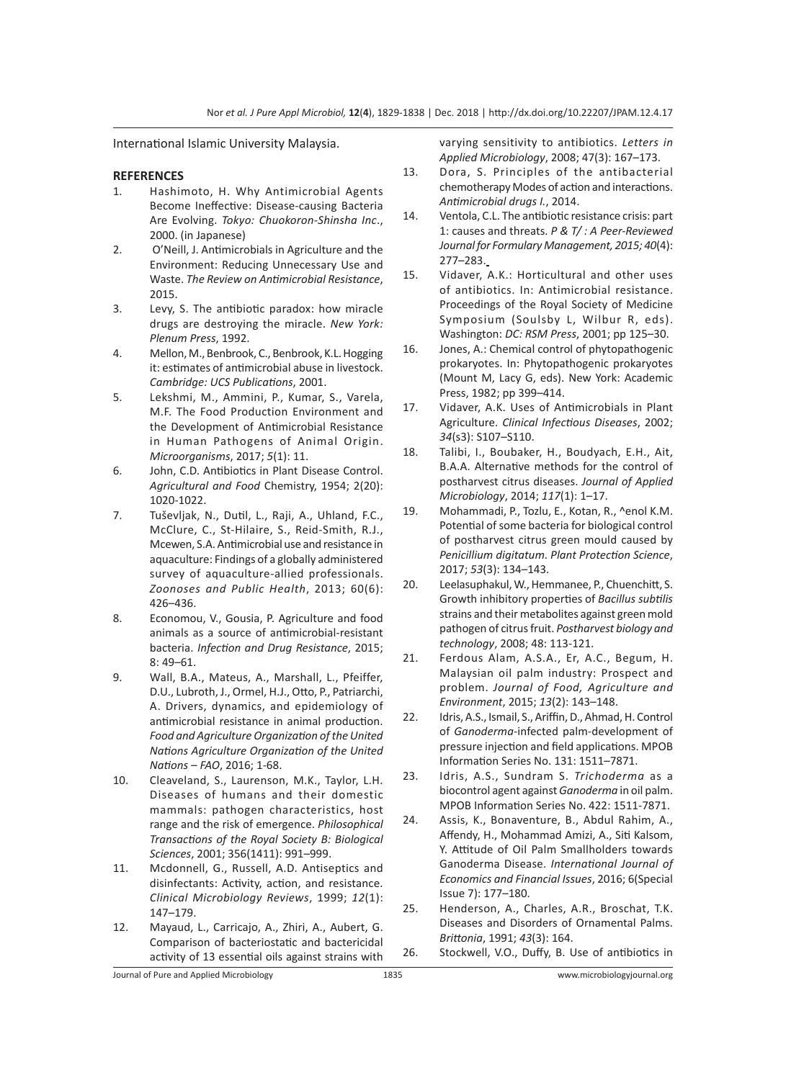International Islamic University Malaysia.

#### **REFERENCES**

- 1. Hashimoto, H. Why Antimicrobial Agents Become Ineffective: Disease-causing Bacteria Are Evolving. *Tokyo: Chuokoron-Shinsha Inc*., 2000. (in Japanese)
- 2. O'Neill, J. Antimicrobials in Agriculture and the Environment: Reducing Unnecessary Use and Waste. *The Review on Antimicrobial Resistance*, 2015.
- 3. Levy, S. The antibiotic paradox: how miracle drugs are destroying the miracle. *New York: Plenum Press*, 1992.
- 4. Mellon, M., Benbrook, C., Benbrook, K.L. Hogging it: estimates of antimicrobial abuse in livestock. *Cambridge: UCS Publications*, 2001.
- 5. Lekshmi, M., Ammini, P., Kumar, S., Varela, M.F. The Food Production Environment and the Development of Antimicrobial Resistance in Human Pathogens of Animal Origin. *Microorganisms*, 2017; *5*(1): 11.
- 6. John, C.D. Antibiotics in Plant Disease Control. *Agricultural and Food* Chemistry, 1954; 2(20): 1020-1022.
- 7. Tuševljak, N., Dutil, L., Raji, A., Uhland, F.C., McClure, C., St-Hilaire, S., Reid-Smith, R.J., Mcewen, S.A. Antimicrobial use and resistance in aquaculture: Findings of a globally administered survey of aquaculture-allied professionals. *Zoonoses and Public Health*, 2013; 60(6): 426–436.
- 8. Economou, V., Gousia, P. Agriculture and food animals as a source of antimicrobial-resistant bacteria. *Infection and Drug Resistance*, 2015; 8: 49–61.
- 9. Wall, B.A., Mateus, A., Marshall, L., Pfeiffer, D.U., Lubroth, J., Ormel, H.J., Otto, P., Patriarchi, A. Drivers, dynamics, and epidemiology of antimicrobial resistance in animal production. *Food and Agriculture Organization of the United Nations Agriculture Organization of the United Nations – FAO*, 2016; 1-68.
- 10. Cleaveland, S., Laurenson, M.K., Taylor, L.H. Diseases of humans and their domestic mammals: pathogen characteristics, host range and the risk of emergence. *Philosophical Transactions of the Royal Society B: Biological Sciences*, 2001; 356(1411): 991–999.
- 11. Mcdonnell, G., Russell, A.D. Antiseptics and disinfectants: Activity, action, and resistance. *Clinical Microbiology Reviews*, 1999; *12*(1): 147–179.
- 12. Mayaud, L., Carricajo, A., Zhiri, A., Aubert, G. Comparison of bacteriostatic and bactericidal activity of 13 essential oils against strains with

varying sensitivity to antibiotics. *Letters in Applied Microbiology*, 2008; 47(3): 167–173.

- 13. Dora, S. Principles of the antibacterial chemotherapy Modes of action and interactions. *Antimicrobial drugs I.*, 2014.
- 14. Ventola, C.L. The antibiotic resistance crisis: part 1: causes and threats. *P & T/ : A Peer-Reviewed Journal for Formulary Management, 2015; 40*(4): 277–283.
- 15. Vidaver, A.K.: Horticultural and other uses of antibiotics. In: Antimicrobial resistance. Proceedings of the Royal Society of Medicine Symposium (Soulsby L, Wilbur R, eds). Washington: *DC: RSM Press*, 2001; pp 125–30.
- 16. Jones, A.: Chemical control of phytopathogenic prokaryotes. In: Phytopathogenic prokaryotes (Mount M, Lacy G, eds). New York: Academic Press, 1982; pp 399–414.
- 17. Vidaver, A.K. Uses of Antimicrobials in Plant Agriculture. *Clinical Infectious Diseases*, 2002; *34*(s3): S107–S110.
- 18. Talibi, I., Boubaker, H., Boudyach, E.H., Ait, B.A.A. Alternative methods for the control of postharvest citrus diseases. *Journal of Applied Microbiology*, 2014; *117*(1): 1–17.
- 19. Mohammadi, P., Tozlu, E., Kotan, R., ^enol K.M. Potential of some bacteria for biological control of postharvest citrus green mould caused by *Penicillium digitatum*. *Plant Protection Science*, 2017; *53*(3): 134–143.
- 20. Leelasuphakul, W., Hemmanee, P., Chuenchitt, S. Growth inhibitory properties of *Bacillus subtilis*  strains and their metabolites against green mold pathogen of citrus fruit. *Postharvest biology and technology*, 2008; 48: 113-121.
- 21. Ferdous Alam, A.S.A., Er, A.C., Begum, H. Malaysian oil palm industry: Prospect and problem. *Journal of Food, Agriculture and Environment*, 2015; *13*(2): 143–148.
- 22. Idris, A.S., Ismail, S., Ariffin, D., Ahmad, H. Control of *Ganoderma*-infected palm-development of pressure injection and field applications. MPOB Information Series No. 131: 1511–7871.
- 23. Idris, A.S., Sundram S. *Trichoderma* as a biocontrol agent against *Ganoderma* in oil palm. MPOB Information Series No. 422: 1511-7871.
- 24. Assis, K., Bonaventure, B., Abdul Rahim, A., Affendy, H., Mohammad Amizi, A., Siti Kalsom, Y. Attitude of Oil Palm Smallholders towards Ganoderma Disease. *International Journal of Economics and Financial Issues*, 2016; 6(Special Issue 7): 177–180.
- 25. Henderson, A., Charles, A.R., Broschat, T.K. Diseases and Disorders of Ornamental Palms. *Brittonia*, 1991; *43*(3): 164.
- 26. Stockwell, V.O., Duffy, B. Use of antibiotics in

Journal of Pure and Applied Microbiology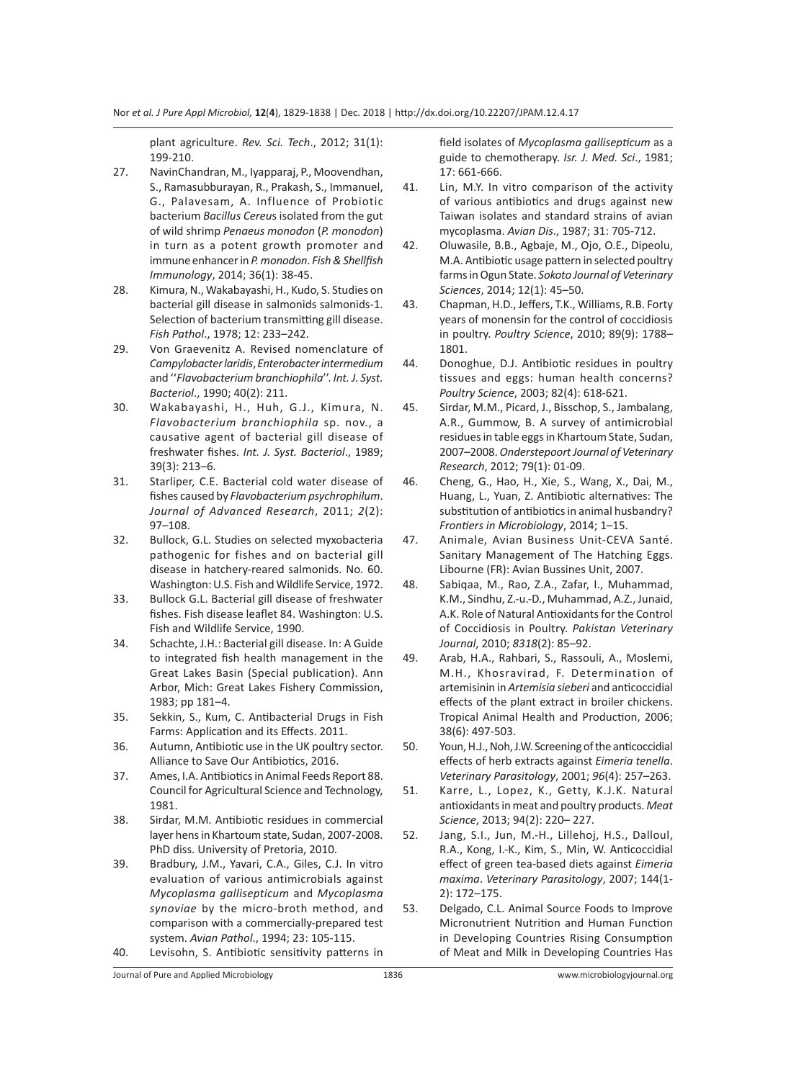plant agriculture. *Rev. Sci. Tech*., 2012; 31(1): 199-210.

- 27. NavinChandran, M., Iyapparaj, P., Moovendhan, S., Ramasubburayan, R., Prakash, S., Immanuel, G., Palavesam, A. Influence of Probiotic bacterium *Bacillus Cereu*s isolated from the gut of wild shrimp *Penaeus monodon* (*P. monodon*) in turn as a potent growth promoter and immune enhancer in *P. monodon*. *Fish & Shellfish Immunology*, 2014; 36(1): 38-45.
- 28. Kimura, N., Wakabayashi, H., Kudo, S. Studies on bacterial gill disease in salmonids salmonids-1. Selection of bacterium transmitting gill disease. *Fish Pathol*., 1978; 12: 233–242.
- 29. Von Graevenitz A. Revised nomenclature of *Campylobacter laridis*, *Enterobacter intermedium* and ''*Flavobacterium branchiophila*''. *Int. J. Syst. Bacteriol*., 1990; 40(2): 211.
- 30. Wakabayashi, H., Huh, G.J., Kimura, N. *Flavobacterium branchiophila* sp. nov., a causative agent of bacterial gill disease of freshwater fishes. *Int. J. Syst. Bacteriol*., 1989; 39(3): 213–6.
- 31. Starliper, C.E. Bacterial cold water disease of fishes caused by *Flavobacterium psychrophilum*. *Journal of Advanced Research*, 2011; *2*(2): 97–108.
- 32. Bullock, G.L. Studies on selected myxobacteria pathogenic for fishes and on bacterial gill disease in hatchery-reared salmonids. No. 60. Washington: U.S. Fish and Wildlife Service, 1972.
- 33. Bullock G.L. Bacterial gill disease of freshwater fishes. Fish disease leaflet 84. Washington: U.S. Fish and Wildlife Service, 1990.
- 34. Schachte, J.H.: Bacterial gill disease. In: A Guide to integrated fish health management in the Great Lakes Basin (Special publication). Ann Arbor, Mich: Great Lakes Fishery Commission, 1983; pp 181–4.
- 35. Sekkin, S., Kum, C. Antibacterial Drugs in Fish Farms: Application and its Effects. 2011.
- 36. Autumn, Antibiotic use in the UK poultry sector. Alliance to Save Our Antibiotics, 2016.
- 37. Ames, I.A. Antibiotics in Animal Feeds Report 88. Council for Agricultural Science and Technology, 1981.
- 38. Sirdar, M.M. Antibiotic residues in commercial layer hens in Khartoum state, Sudan, 2007-2008. PhD diss. University of Pretoria, 2010.
- 39. Bradbury, J.M., Yavari, C.A., Giles, C.J. In vitro evaluation of various antimicrobials against *Mycoplasma gallisepticum* and *Mycoplasma synoviae* by the micro-broth method, and comparison with a commercially-prepared test system. *Avian Pathol*., 1994; 23: 105-115.
- 40. Levisohn, S. Antibiotic sensitivity patterns in

field isolates of *Mycoplasma gallisepticum* as a guide to chemotherapy. *Isr. J. Med. Sci*., 1981; 17: 661-666.

- 41. Lin, M.Y. In vitro comparison of the activity of various antibiotics and drugs against new Taiwan isolates and standard strains of avian mycoplasma. *Avian Dis*., 1987; 31: 705-712.
- 42. Oluwasile, B.B., Agbaje, M., Ojo, O.E., Dipeolu, M.A. Antibiotic usage pattern in selected poultry farms in Ogun State. *Sokoto Journal of Veterinary Sciences*, 2014; 12(1): 45–50.
- 43. Chapman, H.D., Jeffers, T.K., Williams, R.B. Forty years of monensin for the control of coccidiosis in poultry. *Poultry Science*, 2010; 89(9): 1788– 1801.
- 44. Donoghue, D.J. Antibiotic residues in poultry tissues and eggs: human health concerns? *Poultry Science*, 2003; 82(4): 618-621.
- 45. Sirdar, M.M., Picard, J., Bisschop, S., Jambalang, A.R., Gummow, B. A survey of antimicrobial residues in table eggs in Khartoum State, Sudan, 2007–2008. *Onderstepoort Journal of Veterinary Research*, 2012; 79(1): 01-09.
- 46. Cheng, G., Hao, H., Xie, S., Wang, X., Dai, M., Huang, L., Yuan, Z. Antibiotic alternatives: The substitution of antibiotics in animal husbandry? *Frontiers in Microbiology*, 2014; 1–15.
- 47. Animale, Avian Business Unit-CEVA Santé. Sanitary Management of The Hatching Eggs. Libourne (FR): Avian Bussines Unit, 2007.
- 48. Sabiqaa, M., Rao, Z.A., Zafar, I., Muhammad, K.M., Sindhu, Z.-u.-D., Muhammad, A.Z., Junaid, A.K. Role of Natural Antioxidants for the Control of Coccidiosis in Poultry. *Pakistan Veterinary Journal*, 2010; *8318*(2): 85–92.
- 49. Arab, H.A., Rahbari, S., Rassouli, A., Moslemi, M.H., Khosravirad, F. Determination of artemisinin in *Artemisia sieberi* and anticoccidial effects of the plant extract in broiler chickens. Tropical Animal Health and Production, 2006; 38(6): 497-503.
- 50. Youn, H.J., Noh, J.W. Screening of the anticoccidial effects of herb extracts against *Eimeria tenella*. *Veterinary Parasitology*, 2001; *96*(4): 257–263.
- 51. Karre, L., Lopez, K., Getty, K.J.K. Natural antioxidants in meat and poultry products. *Meat Science*, 2013; 94(2): 220– 227.
- 52. Jang, S.I., Jun, M.-H., Lillehoj, H.S., Dalloul, R.A., Kong, I.-K., Kim, S., Min, W. Anticoccidial effect of green tea-based diets against *Eimeria maxima*. *Veterinary Parasitology*, 2007; 144(1- 2): 172–175.
- 53. Delgado, C.L. Animal Source Foods to Improve Micronutrient Nutrition and Human Function in Developing Countries Rising Consumption of Meat and Milk in Developing Countries Has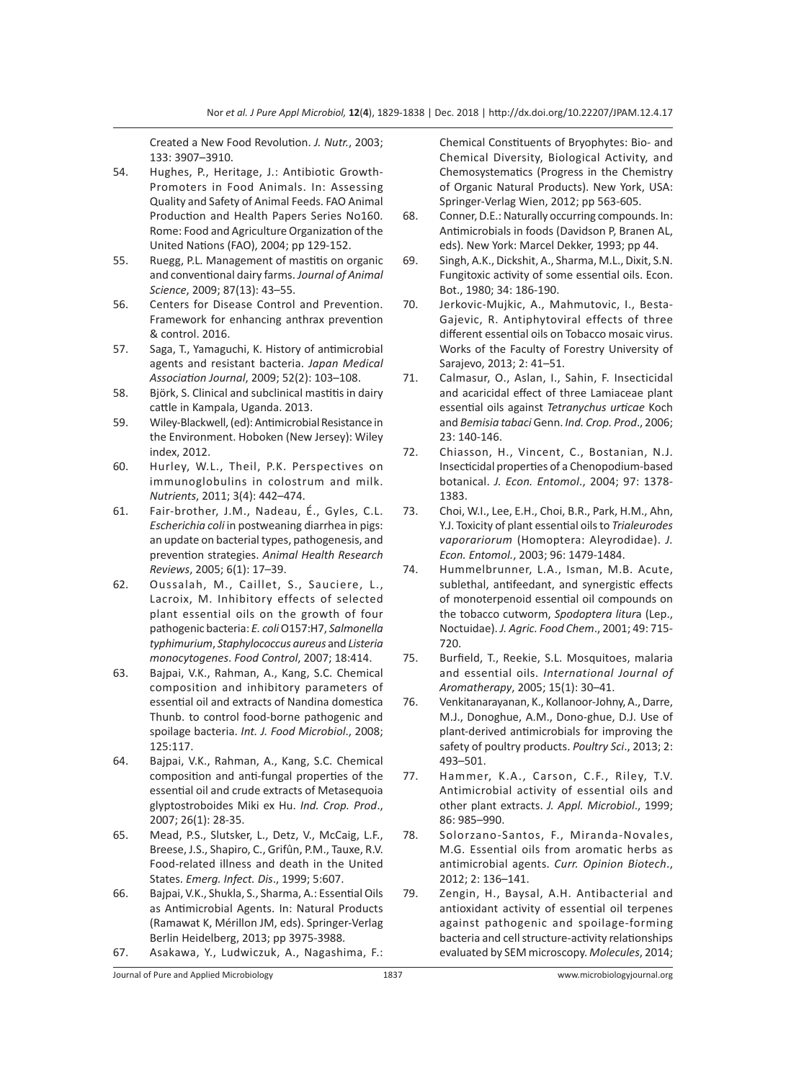Created a New Food Revolution. *J. Nutr.*, 2003; 133: 3907–3910.

- 54. Hughes, P., Heritage, J.: Antibiotic Growth-Promoters in Food Animals. In: Assessing Quality and Safety of Animal Feeds. FAO Animal Production and Health Papers Series No160. Rome: Food and Agriculture Organization of the United Nations (FAO), 2004; pp 129-152.
- 55. Ruegg, P.L. Management of mastitis on organic and conventional dairy farms. *Journal of Animal Science*, 2009; 87(13): 43–55.
- 56. Centers for Disease Control and Prevention. Framework for enhancing anthrax prevention & control. 2016.
- 57. Saga, T., Yamaguchi, K. History of antimicrobial agents and resistant bacteria. *Japan Medical Association Journal*, 2009; 52(2): 103–108.
- 58. Björk, S. Clinical and subclinical mastitis in dairy cattle in Kampala, Uganda. 2013.
- 59. Wiley-Blackwell, (ed): Antimicrobial Resistance in the Environment. Hoboken (New Jersey): Wiley index, 2012.
- 60. Hurley, W.L., Theil, P.K. Perspectives on immunoglobulins in colostrum and milk. *Nutrients*, 2011; 3(4): 442–474.
- 61. Fair-brother, J.M., Nadeau, É., Gyles, C.L. *Escherichia coli* in postweaning diarrhea in pigs: an update on bacterial types, pathogenesis, and prevention strategies. *Animal Health Research Reviews*, 2005; 6(1): 17–39.
- 62. Oussalah, M., Caillet, S., Sauciere, L., Lacroix, M. Inhibitory effects of selected plant essential oils on the growth of four pathogenic bacteria: *E. coli* O157:H7, *Salmonella typhimurium*, *Staphylococcus aureus* and *Listeria monocytogenes*. *Food Control*, 2007; 18:414.
- 63. Bajpai, V.K., Rahman, A., Kang, S.C. Chemical composition and inhibitory parameters of essential oil and extracts of Nandina domestica Thunb. to control food-borne pathogenic and spoilage bacteria. *Int. J. Food Microbiol*., 2008; 125:117.
- 64. Bajpai, V.K., Rahman, A., Kang, S.C. Chemical composition and anti-fungal properties of the essential oil and crude extracts of Metasequoia glyptostroboides Miki ex Hu. *Ind. Crop. Prod*., 2007; 26(1): 28-35.
- 65. Mead, P.S., Slutsker, L., Detz, V., McCaig, L.F., Breese, J.S., Shapiro, C., Grifûn, P.M., Tauxe, R.V. Food-related illness and death in the United States. *Emerg. Infect. Dis*., 1999; 5:607.
- 66. Bajpai, V.K., Shukla, S., Sharma, A.: Essential Oils as Antimicrobial Agents. In: Natural Products (Ramawat K, Mérillon JM, eds). Springer-Verlag Berlin Heidelberg, 2013; pp 3975-3988.
- 67. Asakawa, Y., Ludwiczuk, A., Nagashima, F.:

Chemical Constituents of Bryophytes: Bio- and Chemical Diversity, Biological Activity, and Chemosystematics (Progress in the Chemistry of Organic Natural Products). New York, USA: Springer-Verlag Wien, 2012; pp 563-605.

- 68. Conner, D.E.: Naturally occurring compounds. In: Antimicrobials in foods (Davidson P, Branen AL, eds). New York: Marcel Dekker, 1993; pp 44.
- 69. Singh, A.K., Dickshit, A., Sharma, M.L., Dixit, S.N. Fungitoxic activity of some essential oils. Econ. Bot., 1980; 34: 186-190.
- 70. Jerkovic-Mujkic, A., Mahmutovic, I., Besta-Gajevic, R. Antiphytoviral effects of three different essential oils on Tobacco mosaic virus. Works of the Faculty of Forestry University of Sarajevo, 2013; 2: 41–51.
- 71. Calmasur, O., Aslan, I., Sahin, F. Insecticidal and acaricidal effect of three Lamiaceae plant essential oils against *Tetranychus urticae* Koch and *Bemisia tabaci* Genn. *Ind. Crop. Prod*., 2006; 23: 140-146.
- 72. Chiasson, H., Vincent, C., Bostanian, N.J. Insecticidal properties of a Chenopodium-based botanical. *J. Econ. Entomol*., 2004; 97: 1378- 1383.
- 73. Choi, W.I., Lee, E.H., Choi, B.R., Park, H.M., Ahn, Y.J. Toxicity of plant essential oils to *Trialeurodes vaporariorum* (Homoptera: Aleyrodidae). *J. Econ. Entomol.*, 2003; 96: 1479-1484.
- 74. Hummelbrunner, L.A., Isman, M.B. Acute, sublethal, antifeedant, and synergistic effects of monoterpenoid essential oil compounds on the tobacco cutworm, *Spodoptera litur*a (Lep., Noctuidae). *J. Agric. Food Chem*., 2001; 49: 715- 720.
- 75. Burfield, T., Reekie, S.L. Mosquitoes, malaria and essential oils. *International Journal of Aromatherapy*, 2005; 15(1): 30–41.
- 76. Venkitanarayanan, K., Kollanoor-Johny, A., Darre, M.J., Donoghue, A.M., Dono-ghue, D.J. Use of plant-derived antimicrobials for improving the safety of poultry products. *Poultry Sci*., 2013; 2: 493–501.
- 77. Hammer, K.A., Carson, C.F., Riley, T.V. Antimicrobial activity of essential oils and other plant extracts. *J. Appl. Microbiol*., 1999; 86: 985–990.
- 78. Solorzano-Santos, F., Miranda-Novales, M.G. Essential oils from aromatic herbs as antimicrobial agents. *Curr. Opinion Biotech*., 2012; 2: 136–141.
- 79. Zengin, H., Baysal, A.H. Antibacterial and antioxidant activity of essential oil terpenes against pathogenic and spoilage-forming bacteria and cell structure-activity relationships evaluated by SEM microscopy. *Molecules*, 2014;